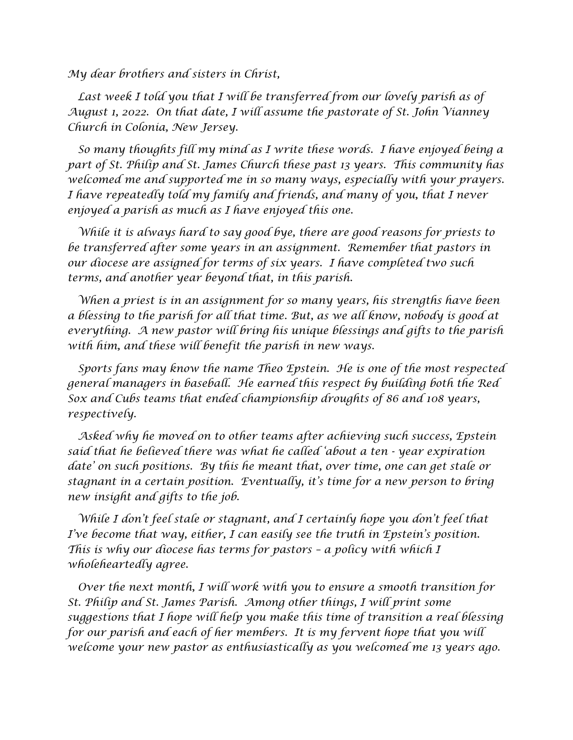*My dear brothers and sisters in Christ,*

 *Last week I told you that I will be transferred from our lovely parish as of August 1, 2022. On that date, I will assume the pastorate of St. John Vianney Church in Colonia, New Jersey.*

 *So many thoughts fill my mind as I write these words. I have enjoyed being a part of St. Philip and St. James Church these past 13 years. This community has welcomed me and supported me in so many ways, especially with your prayers. I have repeatedly told my family and friends, and many of you, that I never enjoyed a parish as much as I have enjoyed this one.*

 *While it is always hard to say good bye, there are good reasons for priests to be transferred after some years in an assignment. Remember that pastors in our diocese are assigned for terms of six years. I have completed two such terms, and another year beyond that, in this parish.* 

 *When a priest is in an assignment for so many years, his strengths have been a blessing to the parish for all that time. But, as we all know, nobody is good at everything. A new pastor will bring his unique blessings and gifts to the parish with him, and these will benefit the parish in new ways.*

 *Sports fans may know the name Theo Epstein. He is one of the most respected general managers in baseball. He earned this respect by building both the Red Sox and Cubs teams that ended championship droughts of 86 and 108 years, respectively.* 

 *Asked why he moved on to other teams after achieving such success, Epstein said that he believed there was what he called 'about a ten*  $\cdot$  *year expiration date' on such positions. By this he meant that, over time, one can get stale or stagnant in a certain position. Eventually, it's time for a new person to bring new insight and gifts to the job.*

 *While I don't feel stale or stagnant, and I certainly hope you don't feel that I've become that way, either, I can easily see the truth in Epstein's position. This is why our diocese has terms for pastors – a policy with which I wholeheartedly agree.*

 *Over the next month, I will work with you to ensure a smooth transition for St. Philip and St. James Parish. Among other things, I will print some suggestions that I hope will help you make this time of transition a real blessing*  for our parish and each of her members. It is my fervent hope that you will *welcome your new pastor as enthusiastically as you welcomed me 13 years ago.*